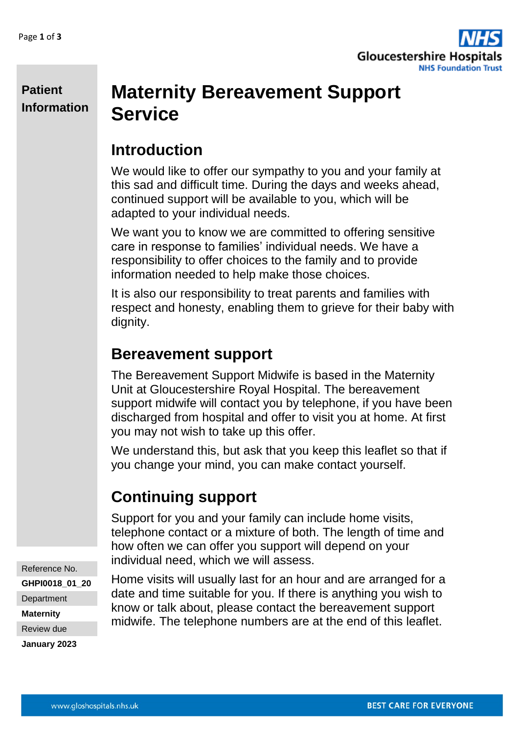

#### **Patient Information**

# **Maternity Bereavement Support Service**

## **Introduction**

We would like to offer our sympathy to you and your family at this sad and difficult time. During the days and weeks ahead, continued support will be available to you, which will be adapted to your individual needs.

We want you to know we are committed to offering sensitive care in response to families' individual needs. We have a responsibility to offer choices to the family and to provide information needed to help make those choices.

It is also our responsibility to treat parents and families with respect and honesty, enabling them to grieve for their baby with dignity.

## **Bereavement support**

The Bereavement Support Midwife is based in the Maternity Unit at Gloucestershire Royal Hospital. The bereavement support midwife will contact you by telephone, if you have been discharged from hospital and offer to visit you at home. At first you may not wish to take up this offer.

We understand this, but ask that you keep this leaflet so that if you change your mind, you can make contact yourself.

## **Continuing support**

Support for you and your family can include home visits, telephone contact or a mixture of both. The length of time and how often we can offer you support will depend on your individual need, which we will assess.

Home visits will usually last for an hour and are arranged for a date and time suitable for you. If there is anything you wish to know or talk about, please contact the bereavement support midwife. The telephone numbers are at the end of this leaflet.

Reference No. **GHPI0018\_01\_20 Department Maternity** Review due

**January 2023**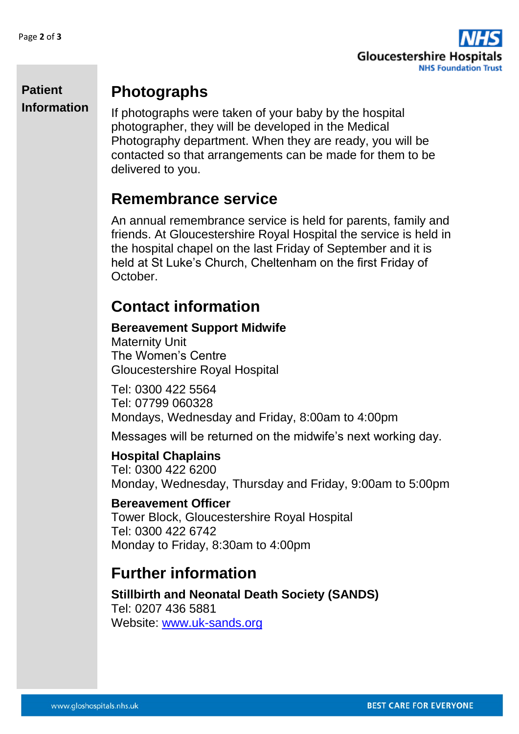

#### **Patient Information**

## **Photographs**

If photographs were taken of your baby by the hospital photographer, they will be developed in the Medical Photography department. When they are ready, you will be contacted so that arrangements can be made for them to be delivered to you.

#### **Remembrance service**

An annual remembrance service is held for parents, family and friends. At Gloucestershire Royal Hospital the service is held in the hospital chapel on the last Friday of September and it is held at St Luke's Church, Cheltenham on the first Friday of October.

## **Contact information**

#### **Bereavement Support Midwife** Maternity Unit

The Women's Centre Gloucestershire Royal Hospital

Tel: 0300 422 5564 Tel: 07799 060328 Mondays, Wednesday and Friday, 8:00am to 4:00pm

Messages will be returned on the midwife's next working day.

#### **Hospital Chaplains**

Tel: 0300 422 6200 Monday, Wednesday, Thursday and Friday, 9:00am to 5:00pm

#### **Bereavement Officer**

Tower Block, Gloucestershire Royal Hospital Tel: 0300 422 6742 Monday to Friday, 8:30am to 4:00pm

#### **Further information**

**Stillbirth and Neonatal Death Society (SANDS)** Tel: 0207 436 5881 Website: [www.uk-sands.org](http://www.uk-sands.org/)